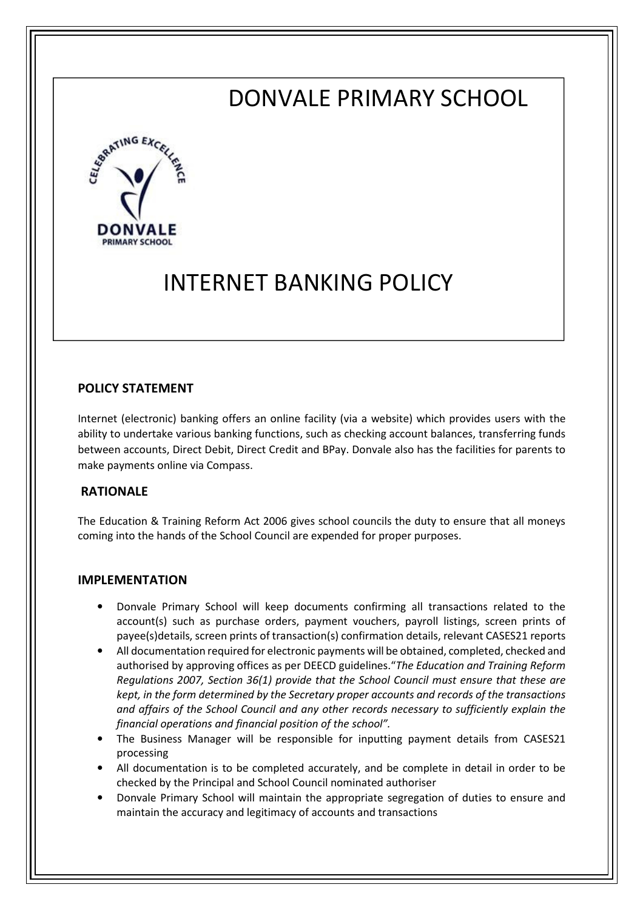# DONVALE PRIMARY SCHOOL



# INTERNET BANKING POLICY

## POLICY STATEMENT

Internet (electronic) banking offers an online facility (via a website) which provides users with the ability to undertake various banking functions, such as checking account balances, transferring funds between accounts, Direct Debit, Direct Credit and BPay. Donvale also has the facilities for parents to make payments online via Compass.

#### RATIONALE

The Education & Training Reform Act 2006 gives school councils the duty to ensure that all moneys coming into the hands of the School Council are expended for proper purposes.

#### IMPLEMENTATION

- Donvale Primary School will keep documents confirming all transactions related to the account(s) such as purchase orders, payment vouchers, payroll listings, screen prints of payee(s)details, screen prints of transaction(s) confirmation details, relevant CASES21 reports
- All documentation required for electronic payments will be obtained, completed, checked and authorised by approving offices as per DEECD guidelines."The Education and Training Reform Regulations 2007, Section 36(1) provide that the School Council must ensure that these are kept, in the form determined by the Secretary proper accounts and records of the transactions and affairs of the School Council and any other records necessary to sufficiently explain the financial operations and financial position of the school".
- The Business Manager will be responsible for inputting payment details from CASES21 processing
- All documentation is to be completed accurately, and be complete in detail in order to be checked by the Principal and School Council nominated authoriser
- Donvale Primary School will maintain the appropriate segregation of duties to ensure and maintain the accuracy and legitimacy of accounts and transactions